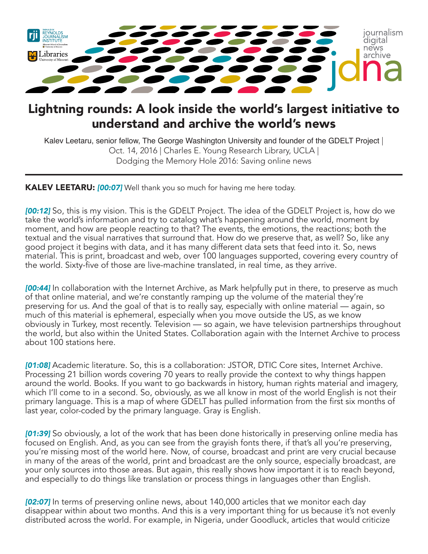

## Lightning rounds: A look inside the world's largest initiative to understand and archive the world's news

Kalev Leetaru, senior fellow, The George Washington University and founder of the GDELT Project | Oct. 14, 2016 | Charles E. Young Research Library, UCLA | Dodging the Memory Hole 2016: Saving online news

KALEV LEETARU: *[00:07]* Well thank you so much for having me here today.

*[00:12]* So, this is my vision. This is the GDELT Project. The idea of the GDELT Project is, how do we take the world's information and try to catalog what's happening around the world, moment by moment, and how are people reacting to that? The events, the emotions, the reactions; both the textual and the visual narratives that surround that. How do we preserve that, as well? So, like any good project it begins with data, and it has many different data sets that feed into it. So, news material. This is print, broadcast and web, over 100 languages supported, covering every country of the world. Sixty-five of those are live-machine translated, in real time, as they arrive.

*[00:44]* In collaboration with the Internet Archive, as Mark helpfully put in there, to preserve as much of that online material, and we're constantly ramping up the volume of the material they're preserving for us. And the goal of that is to really say, especially with online material — again, so much of this material is ephemeral, especially when you move outside the US, as we know obviously in Turkey, most recently. Television — so again, we have television partnerships throughout the world, but also within the United States. Collaboration again with the Internet Archive to process about 100 stations here.

*[01:08]* Academic literature. So, this is a collaboration: JSTOR, DTIC Core sites, Internet Archive. Processing 21 billion words covering 70 years to really provide the context to why things happen around the world. Books. If you want to go backwards in history, human rights material and imagery, which I'll come to in a second. So, obviously, as we all know in most of the world English is not their primary language. This is a map of where GDELT has pulled information from the first six months of last year, color-coded by the primary language. Gray is English.

*[01:39]* So obviously, a lot of the work that has been done historically in preserving online media has focused on English. And, as you can see from the grayish fonts there, if that's all you're preserving, you're missing most of the world here. Now, of course, broadcast and print are very crucial because in many of the areas of the world, print and broadcast are the only source, especially broadcast, are your only sources into those areas. But again, this really shows how important it is to reach beyond, and especially to do things like translation or process things in languages other than English.

*[02:07]* In terms of preserving online news, about 140,000 articles that we monitor each day disappear within about two months. And this is a very important thing for us because it's not evenly distributed across the world. For example, in Nigeria, under Goodluck, articles that would criticize